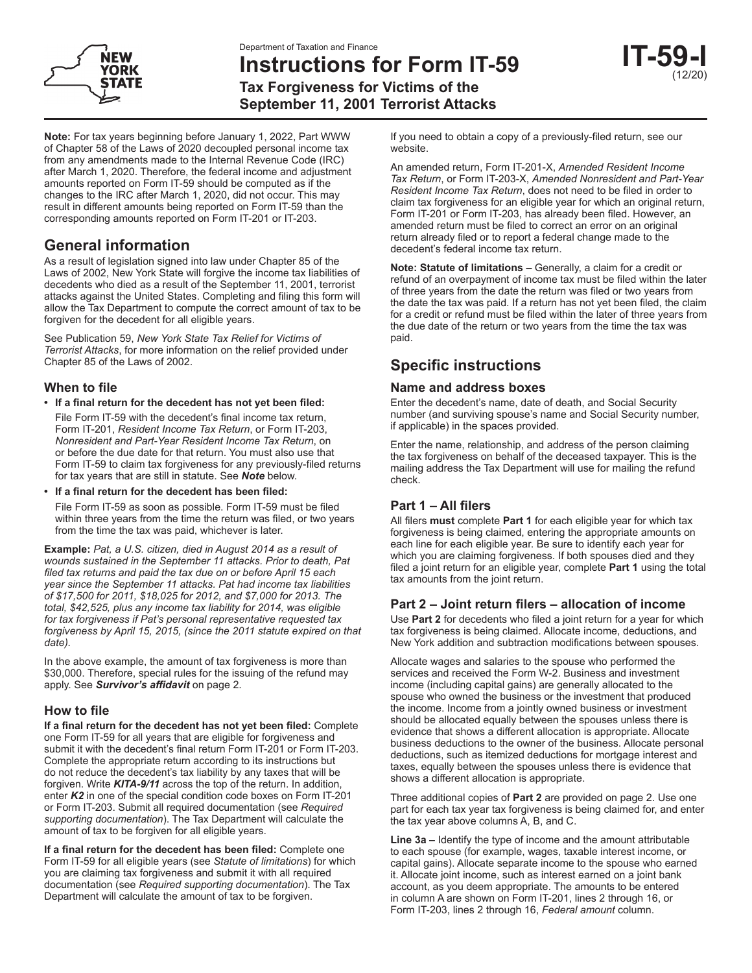



**Instructions for Form IT-59 Tax Forgiveness for Victims of the September 11, 2001 Terrorist Attacks**

| (12/20) |
|---------|

**Note:** For tax years beginning before January 1, 2022, Part WWW of Chapter 58 of the Laws of 2020 decoupled personal income tax from any amendments made to the Internal Revenue Code (IRC) after March 1, 2020. Therefore, the federal income and adjustment amounts reported on Form IT-59 should be computed as if the changes to the IRC after March 1, 2020, did not occur. This may result in different amounts being reported on Form IT-59 than the corresponding amounts reported on Form IT-201 or IT-203.

## **General information**

As a result of legislation signed into law under Chapter 85 of the Laws of 2002, New York State will forgive the income tax liabilities of decedents who died as a result of the September 11, 2001, terrorist attacks against the United States. Completing and filing this form will allow the Tax Department to compute the correct amount of tax to be forgiven for the decedent for all eligible years.

See Publication 59, *New York State Tax Relief for Victims of Terrorist Attacks*, for more information on the relief provided under Chapter 85 of the Laws of 2002.

### **When to file**

- **• If a final return for the decedent has not yet been filed:**
- File Form IT-59 with the decedent's final income tax return, Form IT-201, *Resident Income Tax Return*, or Form IT-203, *Nonresident and Part-Year Resident Income Tax Return*, on or before the due date for that return. You must also use that Form IT-59 to claim tax forgiveness for any previously-filed returns for tax years that are still in statute. See *Note* below.
- **• If a final return for the decedent has been filed:**

File Form IT-59 as soon as possible. Form IT-59 must be filed within three years from the time the return was filed, or two years from the time the tax was paid, whichever is later.

**Example:** *Pat, a U.S. citizen, died in August 2014 as a result of wounds sustained in the September 11 attacks. Prior to death, Pat filed tax returns and paid the tax due on or before April 15 each year since the September 11 attacks. Pat had income tax liabilities of \$17,500 for 2011, \$18,025 for 2012, and \$7,000 for 2013. The total, \$42,525, plus any income tax liability for 2014, was eligible for tax forgiveness if Pat's personal representative requested tax forgiveness by April 15, 2015, (since the 2011 statute expired on that date).*

In the above example, the amount of tax forgiveness is more than \$30,000. Therefore, special rules for the issuing of the refund may apply. See *Survivor's affidavit* on page 2.

## **How to file**

**If a final return for the decedent has not yet been filed:** Complete one Form IT-59 for all years that are eligible for forgiveness and submit it with the decedent's final return Form IT-201 or Form IT-203. Complete the appropriate return according to its instructions but do not reduce the decedent's tax liability by any taxes that will be forgiven. Write *KITA-9/11* across the top of the return. In addition, enter *K2* in one of the special condition code boxes on Form IT-201 or Form IT-203. Submit all required documentation (see *Required supporting documentation*). The Tax Department will calculate the amount of tax to be forgiven for all eligible years.

**If a final return for the decedent has been filed:** Complete one Form IT-59 for all eligible years (see *Statute of limitations*) for which you are claiming tax forgiveness and submit it with all required documentation (see *Required supporting documentation*). The Tax Department will calculate the amount of tax to be forgiven.

If you need to obtain a copy of a previously-filed return, see our website.

An amended return, Form IT-201-X, *Amended Resident Income Tax Return*, or Form IT-203-X, *Amended Nonresident and Part-Year Resident Income Tax Return*, does not need to be filed in order to claim tax forgiveness for an eligible year for which an original return, Form IT-201 or Form IT-203, has already been filed. However, an amended return must be filed to correct an error on an original return already filed or to report a federal change made to the decedent's federal income tax return.

**Note: Statute of limitations –** Generally, a claim for a credit or refund of an overpayment of income tax must be filed within the later of three years from the date the return was filed or two years from the date the tax was paid. If a return has not yet been filed, the claim for a credit or refund must be filed within the later of three years from the due date of the return or two years from the time the tax was paid.

# **Specific instructions**

### **Name and address boxes**

Enter the decedent's name, date of death, and Social Security number (and surviving spouse's name and Social Security number, if applicable) in the spaces provided.

Enter the name, relationship, and address of the person claiming the tax forgiveness on behalf of the deceased taxpayer. This is the mailing address the Tax Department will use for mailing the refund check.

## **Part 1 – All filers**

All filers **must** complete **Part 1** for each eligible year for which tax forgiveness is being claimed, entering the appropriate amounts on each line for each eligible year. Be sure to identify each year for which you are claiming forgiveness. If both spouses died and they filed a joint return for an eligible year, complete **Part 1** using the total tax amounts from the joint return.

## **Part 2 – Joint return filers – allocation of income**

Use **Part 2** for decedents who filed a joint return for a year for which tax forgiveness is being claimed. Allocate income, deductions, and New York addition and subtraction modifications between spouses.

Allocate wages and salaries to the spouse who performed the services and received the Form W-2. Business and investment income (including capital gains) are generally allocated to the spouse who owned the business or the investment that produced the income. Income from a jointly owned business or investment should be allocated equally between the spouses unless there is evidence that shows a different allocation is appropriate. Allocate business deductions to the owner of the business. Allocate personal deductions, such as itemized deductions for mortgage interest and taxes, equally between the spouses unless there is evidence that shows a different allocation is appropriate.

Three additional copies of **Part 2** are provided on page 2. Use one part for each tax year tax forgiveness is being claimed for, and enter the tax year above columns A, B, and C.

**Line 3a –** Identify the type of income and the amount attributable to each spouse (for example, wages, taxable interest income, or capital gains). Allocate separate income to the spouse who earned it. Allocate joint income, such as interest earned on a joint bank account, as you deem appropriate. The amounts to be entered in column A are shown on Form IT-201, lines 2 through 16, or Form IT-203, lines 2 through 16, *Federal amount* column.